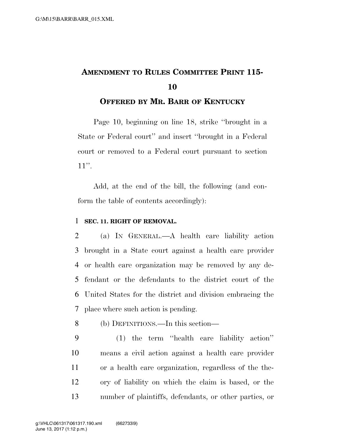## **AMENDMENT TO RULES COMMITTEE PRINT 115- 10**

## **OFFERED BY MR. BARR OF KENTUCKY**

Page 10, beginning on line 18, strike ''brought in a State or Federal court'' and insert ''brought in a Federal court or removed to a Federal court pursuant to section 11''.

Add, at the end of the bill, the following (and conform the table of contents accordingly):

## 1 **SEC. 11. RIGHT OF REMOVAL.**

 (a) IN GENERAL.—A health care liability action brought in a State court against a health care provider or health care organization may be removed by any de- fendant or the defendants to the district court of the United States for the district and division embracing the place where such action is pending.

8 (b) DEFINITIONS.—In this section—

 (1) the term ''health care liability action'' means a civil action against a health care provider or a health care organization, regardless of the the- ory of liability on which the claim is based, or the number of plaintiffs, defendants, or other parties, or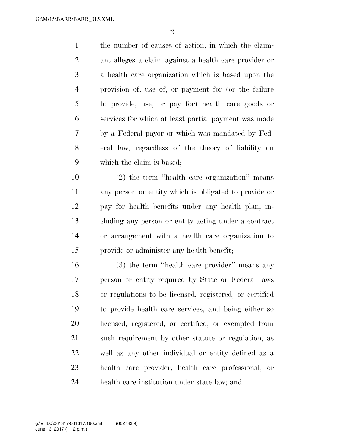the number of causes of action, in which the claim- ant alleges a claim against a health care provider or a health care organization which is based upon the provision of, use of, or payment for (or the failure to provide, use, or pay for) health care goods or services for which at least partial payment was made by a Federal payor or which was mandated by Fed- eral law, regardless of the theory of liability on which the claim is based;

 (2) the term ''health care organization'' means any person or entity which is obligated to provide or pay for health benefits under any health plan, in- cluding any person or entity acting under a contract or arrangement with a health care organization to provide or administer any health benefit;

 (3) the term ''health care provider'' means any person or entity required by State or Federal laws or regulations to be licensed, registered, or certified to provide health care services, and being either so licensed, registered, or certified, or exempted from such requirement by other statute or regulation, as well as any other individual or entity defined as a health care provider, health care professional, or health care institution under state law; and